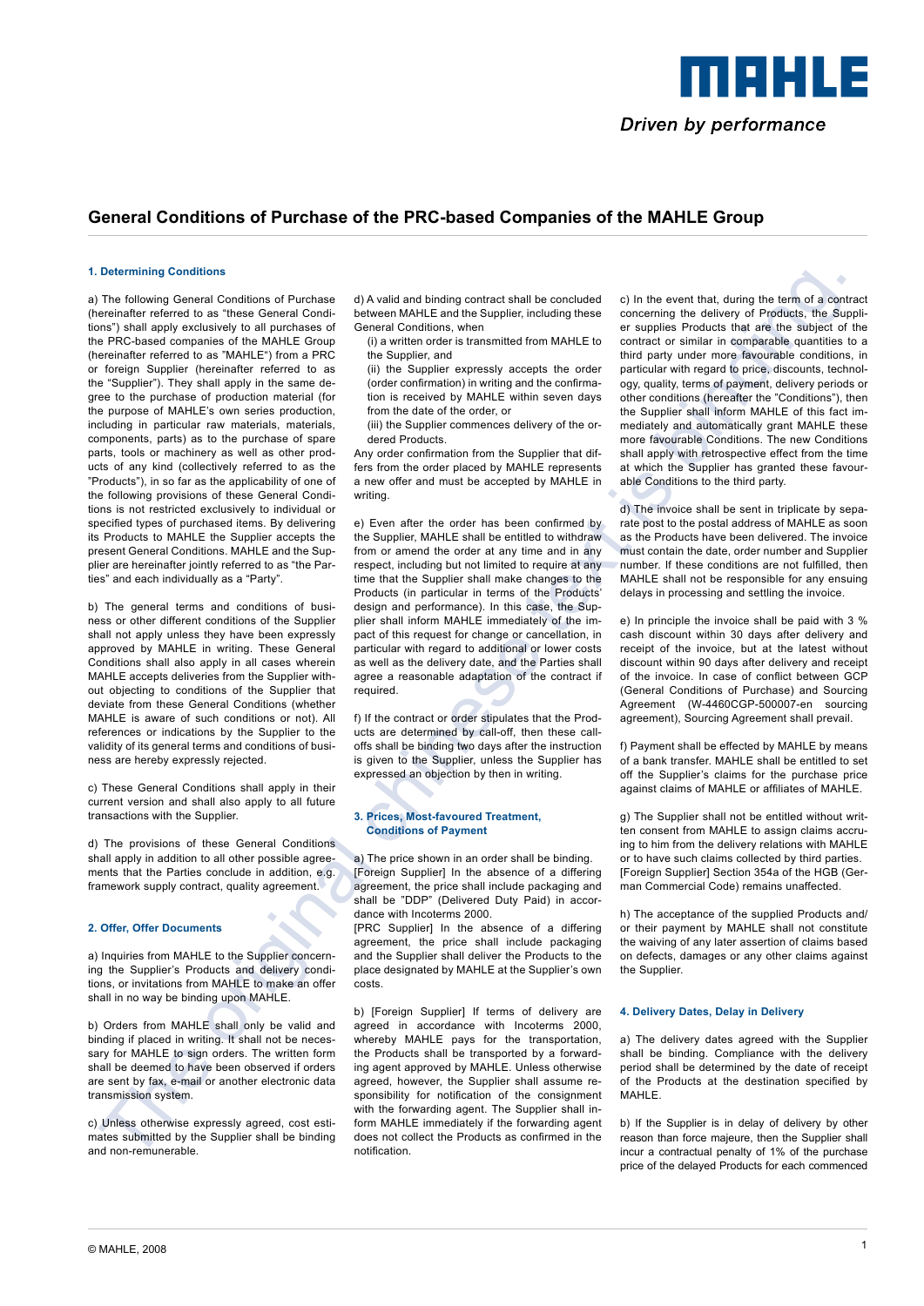

# **General Conditions of Purchase of the PRC-based Companies of the Mahle Group**

#### **1. Determining Conditions**

Determined the state of the state interest is the state of the state of the state of the state of the state of the state of the state of the state of the state of the state of the state of the state of the state of the st a) The following General Conditions of Purchase (hereinafter referred to as "these General Conditions") shall apply exclusively to all purchases of the PRC-based companies of the MAHLE Group (hereinafter referred to as "MAHLE") from a PRC or foreign Supplier (hereinafter referred to as the "Supplier"). They shall apply in the same degree to the purchase of production material (for the purpose of MAHLE's own series production, including in particular raw materials, materials, components, parts) as to the purchase of spare parts, tools or machinery as well as other products of any kind (collectively referred to as the "Products"), in so far as the applicability of one of the following provisions of these General Conditions is not restricted exclusively to individual or specified types of purchased items. By delivering its Products to MAHLE the Supplier accepts the present General Conditions. MAHLE and the Supplier are hereinafter jointly referred to as "the Parties" and each individually as a "Party".

b) The general terms and conditions of business or other different conditions of the Supplier shall not apply unless they have been expressly approved by MAHLE in writing. These General Conditions shall also apply in all cases wherein MAHLE accepts deliveries from the Supplier without objecting to conditions of the Supplier that deviate from these General Conditions (whether MAHLE is aware of such conditions or not). All references or indications by the Supplier to the validity of its general terms and conditions of business are hereby expressly rejected.

c) These General Conditions shall apply in their current version and shall also apply to all future transactions with the Supplier.

d) The provisions of these General Conditions shall apply in addition to all other possible agreements that the Parties conclude in addition, e.g. framework supply contract, quality agreement.

# **2. Offer, Offer Documents**

a) Inquiries from MAHLE to the Supplier concerning the Supplier's Products and delivery conditions, or invitations from MAHLE to make an offer shall in no way be binding upon MAHLE.

b) Orders from MAHLE shall only be valid and binding if placed in writing. It shall not be necessary for MAHLE to sign orders. The written form shall be deemed to have been observed if orders are sent by fax, e-mail or another electronic data transmission system.

c) Unless otherwise expressly agreed, cost estimates submitted by the Supplier shall be binding and non-remunerable.

d) A valid and binding contract shall be concluded between MAHLE and the Supplier, including these General Conditions, when

(i) a written order is transmitted from MAHLE to the Supplier, and

(ii) the Supplier expressly accepts the order (order confirmation) in writing and the confirmation is received by MAHLE within seven days from the date of the order, or

(iii) the Supplier commences delivery of the ordered Products.

Any order confirmation from the Supplier that differs from the order placed by MAHLE represents a new offer and must be accepted by MAHLE in writing.

e) Even after the order has been confirmed by the Supplier, MAHLE shall be entitled to withdraw from or amend the order at any time and in any respect, including but not limited to require at any time that the Supplier shall make changes to the Products (in particular in terms of the Products' design and performance). In this case, the Supplier shall inform MAHLE immediately of the impact of this request for change or cancellation, in particular with regard to additional or lower costs as well as the delivery date, and the Parties shall agree a reasonable adaptation of the contract if required.

f) If the contract or order stipulates that the Products are determined by call-off, then these calloffs shall be binding two days after the instruction is given to the Supplier, unless the Supplier has expressed an objection by then in writing.

#### **3. Prices, Most-favoured Treatment, Conditions of Payment**

a) The price shown in an order shall be binding. [Foreign Supplier] In the absence of a differing agreement, the price shall include packaging and shall be "DDP" (Delivered Duty Paid) in accordance with Incoterms 2000.

[PRC Supplier] In the absence of a differing agreement, the price shall include packaging and the Supplier shall deliver the Products to the place designated by MAHLE at the Supplier's own costs.

b) [Foreign Supplier] If terms of delivery are agreed in accordance with Incoterms 2000, whereby MAHLE pays for the transportation, the Products shall be transported by a forwarding agent approved by MAHLE. Unless otherwise agreed, however, the Supplier shall assume responsibility for notification of the consignment with the forwarding agent. The Supplier shall inform MAHLE immediately if the forwarding agent does not collect the Products as confirmed in the notification.

c) In the event that, during the term of a contract concerning the delivery of Products, the Supplier supplies Products that are the subject of the contract or similar in comparable quantities to a third party under more favourable conditions, in particular with regard to price, discounts, technology, quality, terms of payment, delivery periods or other conditions (hereafter the "Conditions"), then the Supplier shall inform MAHLE of this fact immediately and automatically grant MAHLE these more favourable Conditions. The new Conditions shall apply with retrospective effect from the time at which the Supplier has granted these favourable Conditions to the third party.

d) The invoice shall be sent in triplicate by separate post to the postal address of MAHLE as soon as the Products have been delivered. The invoice must contain the date, order number and Supplier number. If these conditions are not fulfilled, then MAHLE shall not be responsible for any ensuing delays in processing and settling the invoice.

e) In principle the invoice shall be paid with 3 % cash discount within 30 days after delivery and receipt of the invoice, but at the latest without discount within 90 days after delivery and receipt of the invoice. In case of conflict between GCP (General Conditions of Purchase) and Sourcing Agreement (W-4460CGP-500007-en sourcing agreement), Sourcing Agreement shall prevail.

f) Payment shall be effected by MAHLE by means of a bank transfer. MAHLE shall be entitled to set off the Supplier's claims for the purchase price against claims of MAHLE or affiliates of MAHLE.

g) The Supplier shall not be entitled without written consent from MAHLE to assign claims accruing to him from the delivery relations with MAHLE or to have such claims collected by third parties. [Foreign Supplier] Section 354a of the HGB (German Commercial Code) remains unaffected.

h) The acceptance of the supplied Products and/ or their payment by MAHLE shall not constitute the waiving of any later assertion of claims based on defects, damages or any other claims against the Supplier.

# **4. Delivery Dates, Delay in Delivery**

a) The delivery dates agreed with the Supplier shall be binding. Compliance with the delivery period shall be determined by the date of receipt of the Products at the destination specified by MAHI F

b) If the Supplier is in delay of delivery by other reason than force majeure, then the Supplier shall incur a contractual penalty of 1% of the purchase price of the delayed Products for each commenced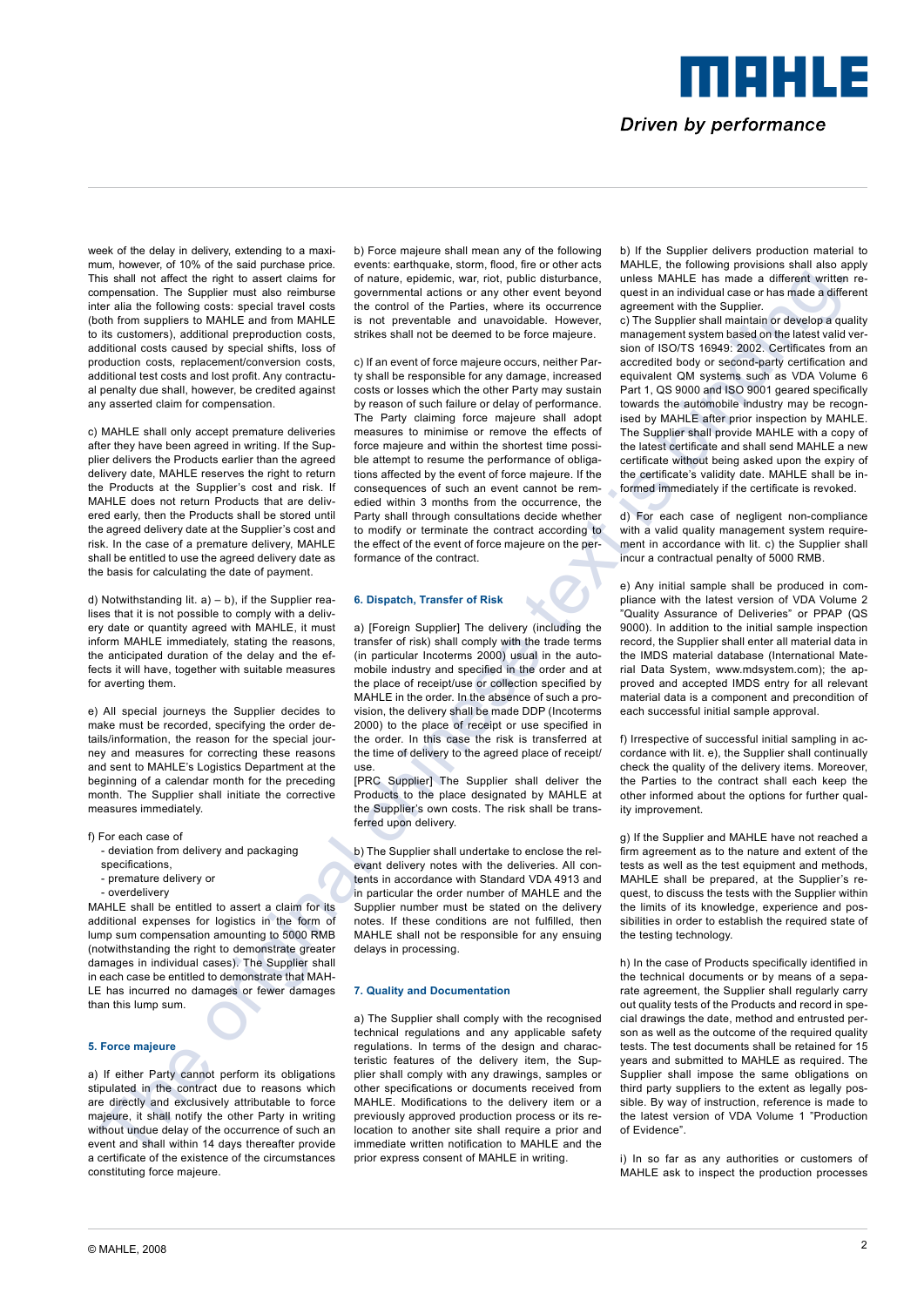Driven by performance

meers a

week of the delay in delivery, extending to a maximum, however, of 10% of the said purchase price. This shall not affect the right to assert claims for compensation. The Supplier must also reimburse inter alia the following costs: special travel costs (both from suppliers to MAHLE and from MAHLE to its customers), additional preproduction costs, additional costs caused by special shifts, loss of production costs, replacement/conversion costs, additional test costs and lost profit. Any contractual penalty due shall, however, be credited against any asserted claim for compensation.

c) MAHLE shall only accept premature deliveries after they have been agreed in writing. If the Supplier delivers the Products earlier than the agreed delivery date, MAHLE reserves the right to return the Products at the Supplier's cost and risk. If MAHLE does not return Products that are delivered early, then the Products shall be stored until the agreed delivery date at the Supplier's cost and risk. In the case of a premature delivery, MAHLE shall be entitled to use the agreed delivery date as the basis for calculating the date of payment.

d) Notwithstanding lit.  $a$ ) – b), if the Supplier realises that it is not possible to comply with a delivery date or quantity agreed with MAHLE, it must inform MAHLE immediately, stating the reasons, the anticipated duration of the delay and the effects it will have, together with suitable measures for averting them.

e) All special journeys the Supplier decides to make must be recorded, specifying the order details/information, the reason for the special journey and measures for correcting these reasons and sent to MAHLE's Logistics Department at the beginning of a calendar month for the preceding month. The Supplier shall initiate the corrective measures immediately.

- f) For each case of
	- deviation from delivery and packaging specifications,
	- premature delivery or
	- overdelivery

MAHLE shall be entitled to assert a claim for its additional expenses for logistics in the form of lump sum compensation amounting to 5000 RMB (notwithstanding the right to demonstrate greater damages in individual cases). The Supplier shall in each case be entitled to demonstrate that MAH-LE has incurred no damages or fewer damages than this lump sum.

# **5. Force majeure**

a) If either Party cannot perform its obligations stipulated in the contract due to reasons which are directly and exclusively attributable to force majeure, it shall notify the other Party in writing without undue delay of the occurrence of such an event and shall within 14 days thereafter provide a certificate of the existence of the circumstances constituting force majeure.

b) Force majeure shall mean any of the following events: earthquake, storm, flood, fire or other acts of nature, epidemic, war, riot, public disturbance, governmental actions or any other event beyond the control of the Parties, where its occurrence is not preventable and unavoidable. However, strikes shall not be deemed to be force majeure.

The action of the state of the state of the state of the state of the state of the state of the state of the state of the state of the state of the state of the state of the state of the state of the state of the state o c) If an event of force majeure occurs, neither Party shall be responsible for any damage, increased costs or losses which the other Party may sustain by reason of such failure or delay of performance. The Party claiming force majeure shall adopt measures to minimise or remove the effects of force majeure and within the shortest time possible attempt to resume the performance of obligations affected by the event of force majeure. If the consequences of such an event cannot be remedied within 3 months from the occurrence, the Party shall through consultations decide whether to modify or terminate the contract according to the effect of the event of force majeure on the performance of the contract.

# **6. Dispatch, Transfer of Risk**

a) [Foreign Supplier] The delivery (including the transfer of risk) shall comply with the trade terms (in particular Incoterms 2000) usual in the automobile industry and specified in the order and at the place of receipt/use or collection specified by MAHLE in the order. In the absence of such a provision, the delivery shall be made DDP (Incoterms 2000) to the place of receipt or use specified in the order. In this case the risk is transferred at the time of delivery to the agreed place of receipt/ use.

[PRC Supplier] The Supplier shall deliver the Products to the place designated by MAHLE at the Supplier's own costs. The risk shall be transferred upon delivery.

b) The Supplier shall undertake to enclose the relevant delivery notes with the deliveries. All contents in accordance with Standard VDA 4913 and in particular the order number of MAHLE and the Supplier number must be stated on the delivery notes. If these conditions are not fulfilled, then MAHLE shall not be responsible for any ensuing delays in processing.

# **7. Quality and Documentation**

a) The Supplier shall comply with the recognised technical regulations and any applicable safety regulations. In terms of the design and characteristic features of the delivery item, the Supplier shall comply with any drawings, samples or other specifications or documents received from MAHLE. Modifications to the delivery item or a previously approved production process or its relocation to another site shall require a prior and immediate written notification to MAHLE and the prior express consent of MAHLE in writing.

b) If the Supplier delivers production material to MAHLE, the following provisions shall also apply unless MAHLE has made a different written request in an individual case or has made a different agreement with the Supplier.

c) The Supplier shall maintain or develop a quality management system based on the latest valid version of ISO/TS 16949: 2002. Certificates from an accredited body or second-party certification and equivalent QM systems such as VDA Volume 6 Part 1, QS 9000 and ISO 9001 geared specifically towards the automobile industry may be recognised by MAHLE after prior inspection by MAHLE. The Supplier shall provide MAHLE with a copy of the latest certificate and shall send MAHLE a new certificate without being asked upon the expiry of the certificate's validity date. MAHLE shall be informed immediately if the certificate is revoked.

d) For each case of negligent non-compliance with a valid quality management system requirement in accordance with lit. c) the Supplier shall incur a contractual penalty of 5000 RMB.

e) Any initial sample shall be produced in compliance with the latest version of VDA Volume 2 "Quality Assurance of Deliveries" or PPAP (QS 9000). In addition to the initial sample inspection record, the Supplier shall enter all material data in the IMDS material database (International Material Data System, www.mdsystem.com); the approved and accepted IMDS entry for all relevant material data is a component and precondition of each successful initial sample approval.

f) Irrespective of successful initial sampling in accordance with lit. e), the Supplier shall continually check the quality of the delivery items. Moreover, the Parties to the contract shall each keep the other informed about the options for further quality improvement.

g) If the Supplier and MAHLE have not reached a firm agreement as to the nature and extent of the tests as well as the test equipment and methods, MAHLE shall be prepared, at the Supplier's request, to discuss the tests with the Supplier within the limits of its knowledge, experience and possibilities in order to establish the required state of the testing technology.

h) In the case of Products specifically identified in the technical documents or by means of a separate agreement, the Supplier shall regularly carry out quality tests of the Products and record in special drawings the date, method and entrusted person as well as the outcome of the required quality tests. The test documents shall be retained for 15 years and submitted to MAHLE as required. The Supplier shall impose the same obligations on third party suppliers to the extent as legally possible. By way of instruction, reference is made to the latest version of VDA Volume 1 "Production of Evidence".

i) In so far as any authorities or customers of MAHLE ask to inspect the production processes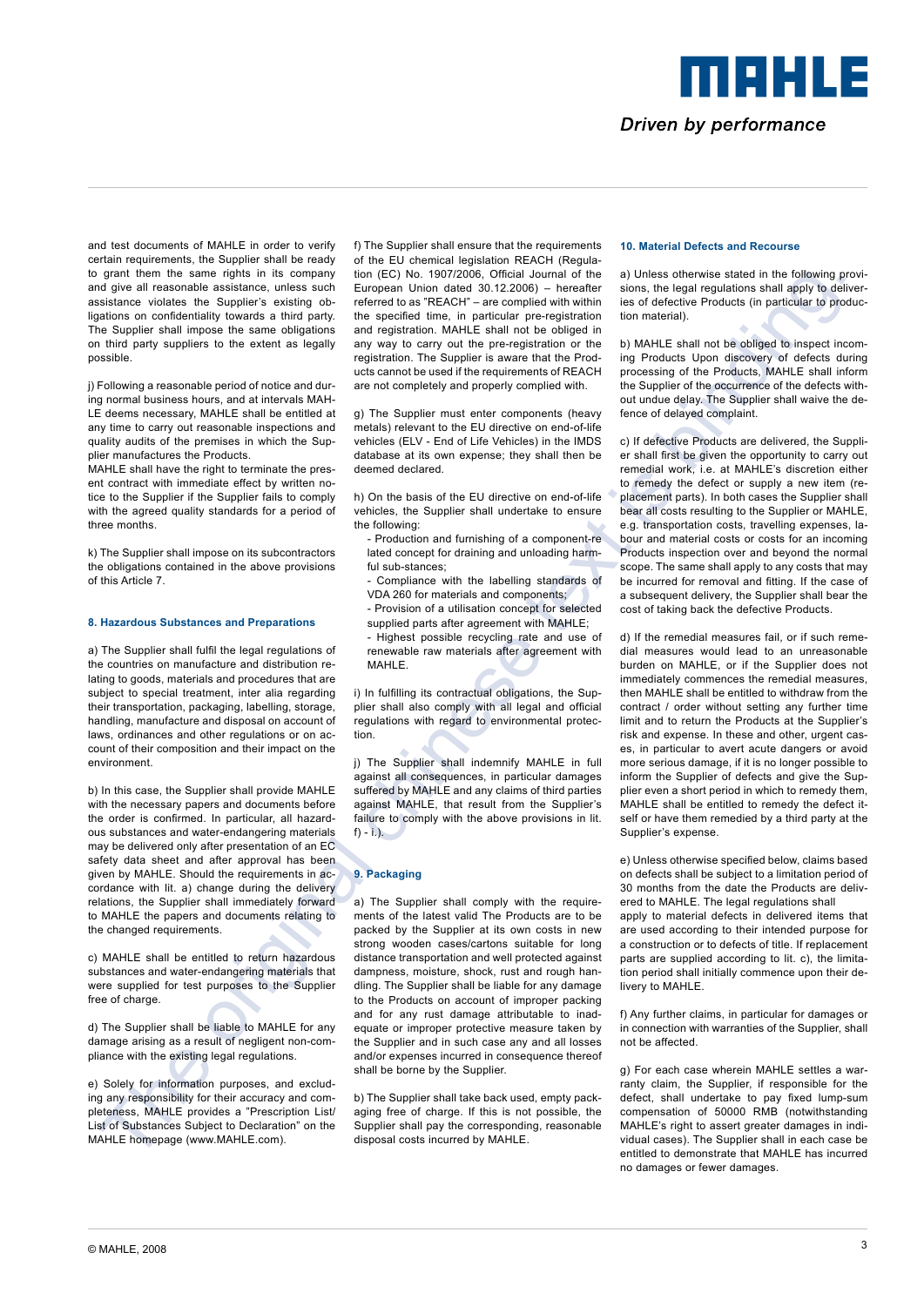MAHLE Driven by performance

and test documents of MAHLE in order to verify certain requirements, the Supplier shall be ready to grant them the same rights in its company and give all reasonable assistance, unless such assistance violates the Supplier's existing obligations on confidentiality towards a third party. The Supplier shall impose the same obligations on third party suppliers to the extent as legally possible.

i) Following a reasonable period of notice and during normal business hours, and at intervals MAH-LE deems necessary, MAHLE shall be entitled at any time to carry out reasonable inspections and quality audits of the premises in which the Supplier manufactures the Products.

MAHLE shall have the right to terminate the present contract with immediate effect by written notice to the Supplier if the Supplier fails to comply with the agreed quality standards for a period of three months.

k) The Supplier shall impose on its subcontractors the obligations contained in the above provisions of this Article 7.

# **8. Hazardous Substances and Preparations**

a) The Supplier shall fulfil the legal regulations of the countries on manufacture and distribution relating to goods, materials and procedures that are subject to special treatment, inter alia regarding their transportation, packaging, labelling, storage, handling, manufacture and disposal on account of laws, ordinances and other regulations or on account of their composition and their impact on the environment.

b) In this case, the Supplier shall provide MAHLE with the necessary papers and documents before the order is confirmed. In particular, all hazardous substances and water-endangering materials may be delivered only after presentation of an EC safety data sheet and after approval has been given by MAHLE. Should the requirements in accordance with lit. a) change during the delivery relations, the Supplier shall immediately forward to MAHLE the papers and documents relating to the changed requirements.

c) MAHLE shall be entitled to return hazardous substances and water-endangering materials that were supplied for test purposes to the Supplier free of charge.

d) The Supplier shall be liable to MAHLE for any damage arising as a result of negligent non-compliance with the existing legal regulations.

e) Solely for information purposes, and excluding any responsibility for their accuracy and completeness, MAHLE provides a "Prescription List/ List of Substances Subject to Declaration" on the MAHLE homepage (www.MAHLE.com).

f) The Supplier shall ensure that the requirements of the EU chemical legislation REACH (Regulation (EC) No. 1907/2006, Official Journal of the European Union dated 30.12.2006) – hereafter referred to as "REACH" – are complied with within the specified time, in particular pre-registration and registration. MAHLE shall not be obliged in any way to carry out the pre-registration or the registration. The Supplier is aware that the Products cannot be used if the requirements of REACH are not completely and properly complied with.

g) The Supplier must enter components (heavy metals) relevant to the EU directive on end-of-life vehicles (ELV - End of Life Vehicles) in the IMDS database at its own expense; they shall then be deemed declared.

h) On the basis of the EU directive on end-of-life vehicles, the Supplier shall undertake to ensure the following:

- Production and furnishing of a component-re lated concept for draining and unloading harmful sub-stances:
- Compliance with the labelling standards of VDA 260 for materials and components;
- Provision of a utilisation concept for selected supplied parts after agreement with MAHLE;
- Highest possible recycling rate and use of
- renewable raw materials after agreement with MAHLE.

i) In fulfilling its contractual obligations, the Supplier shall also comply with all legal and official regulations with regard to environmental protection.

j) The Supplier shall indemnify MAHLE in full against all consequences, in particular damages suffered by MAHLE and any claims of third parties against MAHLE, that result from the Supplier's failure to comply with the above provisions in lit.  $f$ ) - i.).

# **9. Packaging**

a) The Supplier shall comply with the requirements of the latest valid The Products are to be packed by the Supplier at its own costs in new strong wooden cases/cartons suitable for long distance transportation and well protected against dampness, moisture, shock, rust and rough handling. The Supplier shall be liable for any damage to the Products on account of improper packing and for any rust damage attributable to inadequate or improper protective measure taken by the Supplier and in such case any and all losses and/or expenses incurred in consequence thereof shall be borne by the Supplier.

b) The Supplier shall take back used, empty packaging free of charge. If this is not possible, the Supplier shall pay the corresponding, reasonable disposal costs incurred by MAHLE.

# **10. Material Defects and Recourse**

a) Unless otherwise stated in the following provisions, the legal regulations shall apply to deliveries of defective Products (in particular to production material).

b) MAHLE shall not be obliged to inspect incoming Products Upon discovery of defects during processing of the Products, MAHLE shall inform the Supplier of the occurrence of the defects without undue delay. The Supplier shall waive the defence of delayed complaint.

c) If defective Products are delivered, the Supplier shall first be given the opportunity to carry out remedial work, i.e. at MAHLE's discretion either to remedy the defect or supply a new item (replacement parts). In both cases the Supplier shall bear all costs resulting to the Supplier or MAHLE, e.g. transportation costs, travelling expenses, labour and material costs or costs for an incoming Products inspection over and beyond the normal scope. The same shall apply to any costs that may be incurred for removal and fitting. If the case of a subsequent delivery, the Supplier shall bear the cost of taking back the defective Products.

The thermal chinese text is a consent of the original chinese text is a consent of the original chinese text is a consent of the original chinese text is a consent of the original chinese text is a consent of the original d) If the remedial measures fail, or if such remedial measures would lead to an unreasonable burden on MAHLE, or if the Supplier does not immediately commences the remedial measures, then MAHLE shall be entitled to withdraw from the contract / order without setting any further time limit and to return the Products at the Supplier's risk and expense. In these and other, urgent cases, in particular to avert acute dangers or avoid more serious damage, if it is no longer possible to inform the Supplier of defects and give the Supplier even a short period in which to remedy them, MAHLE shall be entitled to remedy the defect itself or have them remedied by a third party at the Supplier's expense.

e) Unless otherwise specified below, claims based on defects shall be subject to a limitation period of 30 months from the date the Products are delivered to MAHLE. The legal regulations shall

apply to material defects in delivered items that are used according to their intended purpose for a construction or to defects of title. If replacement parts are supplied according to lit. c), the limitation period shall initially commence upon their delivery to MAHLE.

f) Any further claims, in particular for damages or in connection with warranties of the Supplier, shall not be affected.

g) For each case wherein MAHLE settles a warranty claim, the Supplier, if responsible for the defect, shall undertake to pay fixed lump-sum compensation of 50000 RMB (notwithstanding MAHLE's right to assert greater damages in individual cases). The Supplier shall in each case be entitled to demonstrate that MAHLE has incurred no damages or fewer damages.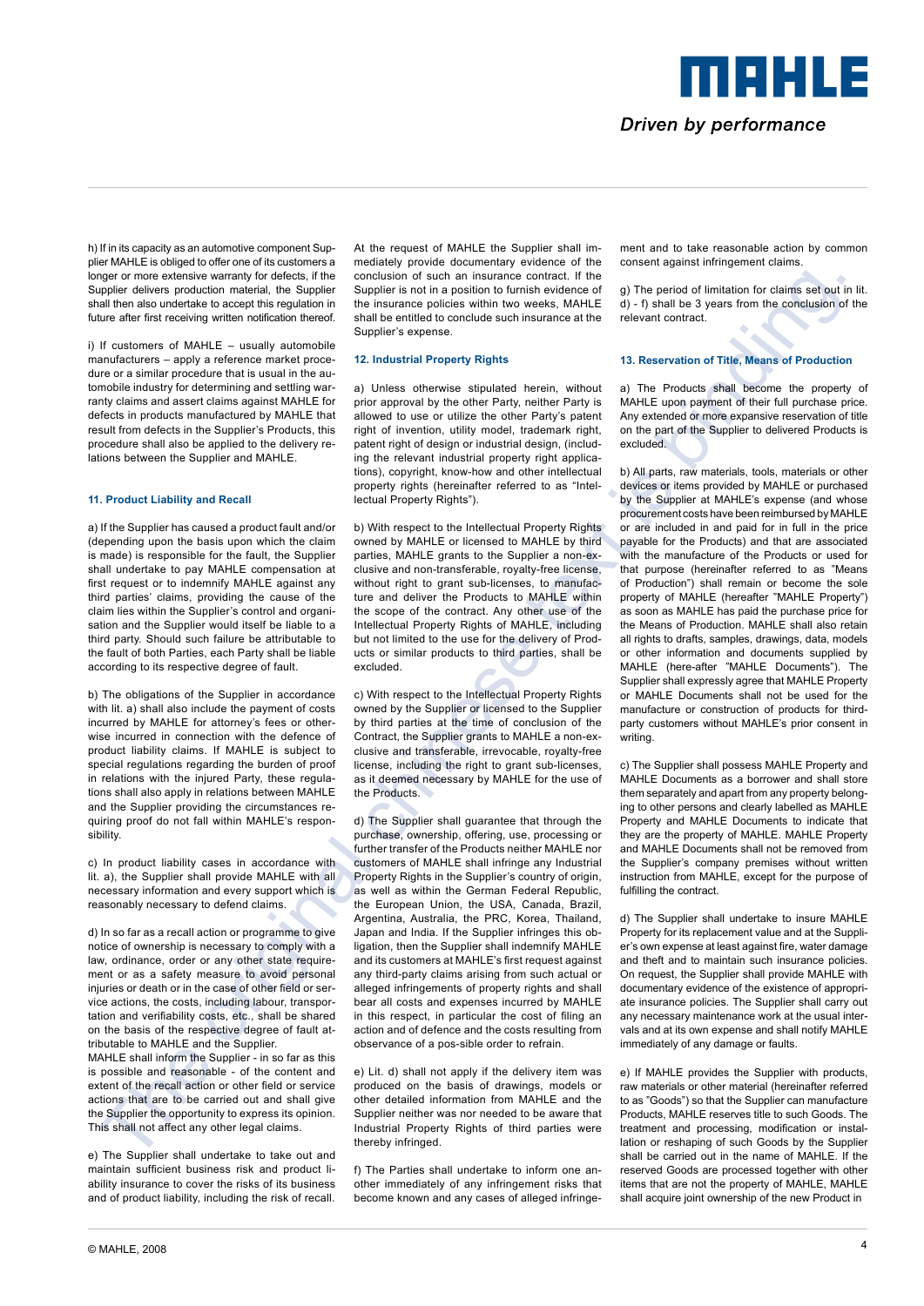Driven by performance

maale

h) If in its capacity as an automotive component Supplier MAHLE is obliged to offer one of its customers a longer or more extensive warranty for defects, if the Supplier delivers production material, the Supplier shall then also undertake to accept this regulation in future after first receiving written notification thereof.

i) If customers of MAHLE – usually automobile manufacturers – apply a reference market procedure or a similar procedure that is usual in the automobile industry for determining and settling warranty claims and assert claims against MAHLE for defects in products manufactured by MAHLE that result from defects in the Supplier's Products, this procedure shall also be applied to the delivery relations between the Supplier and MAHLE.

# **11. Product Liability and Recall**

a) If the Supplier has caused a product fault and/or (depending upon the basis upon which the claim is made) is responsible for the fault, the Supplier shall undertake to pay MAHLE compensation at first request or to indemnify MAHLE against any third parties' claims, providing the cause of the claim lies within the Supplier's control and organisation and the Supplier would itself be liable to a third party. Should such failure be attributable to the fault of both Parties, each Party shall be liable according to its respective degree of fault.

b) The obligations of the Supplier in accordance with lit. a) shall also include the payment of costs incurred by MAHLE for attorney's fees or otherwise incurred in connection with the defence of product liability claims. If MAHLE is subject to special regulations regarding the burden of proof in relations with the injured Party, these regulations shall also apply in relations between MAHLE and the Supplier providing the circumstances requiring proof do not fall within MAHLE's responsibility.

c) In product liability cases in accordance with lit. a), the Supplier shall provide MAHLE with all necessary information and every support which is reasonably necessary to defend claims.

d) In so far as a recall action or programme to give notice of ownership is necessary to comply with a law, ordinance, order or any other state requirement or as a safety measure to avoid personal injuries or death or in the case of other field or service actions, the costs, including labour, transportation and verifiability costs, etc., shall be shared on the basis of the respective degree of fault attributable to MAHLE and the Supplier.

MAHLE shall inform the Supplier - in so far as this is possible and reasonable - of the content and extent of the recall action or other field or service actions that are to be carried out and shall give the Supplier the opportunity to express its opinion. This shall not affect any other legal claims.

e) The Supplier shall undertake to take out and maintain sufficient business risk and product liability insurance to cover the risks of its business and of product liability, including the risk of recall. At the request of MAHLE the Supplier shall immediately provide documentary evidence of the conclusion of such an insurance contract. If the Supplier is not in a position to furnish evidence of the insurance policies within two weeks, MAHLE shall be entitled to conclude such insurance at the Supplier's expense.

#### **12. Industrial Property Rights**

a) Unless otherwise stipulated herein, without prior approval by the other Party, neither Party is allowed to use or utilize the other Party's patent right of invention, utility model, trademark right, patent right of design or industrial design, (including the relevant industrial property right applications), copyright, know-how and other intellectual property rights (hereinafter referred to as "Intellectual Property Rights").

b) With respect to the Intellectual Property Rights owned by MAHLE or licensed to MAHLE by third parties, MAHLE grants to the Supplier a non-exclusive and non-transferable, royalty-free license, without right to grant sub-licenses, to manufacture and deliver the Products to MAHLE within the scope of the contract. Any other use of the Intellectual Property Rights of MAHLE, including but not limited to the use for the delivery of Products or similar products to third parties, shall be excluded.

c) With respect to the Intellectual Property Rights owned by the Supplier or licensed to the Supplier by third parties at the time of conclusion of the Contract, the Supplier grants to MAHLE a non-exclusive and transferable, irrevocable, royalty-free license, including the right to grant sub-licenses, as it deemed necessary by MAHLE for the use of the Products.

d) The Supplier shall guarantee that through the purchase, ownership, offering, use, processing or further transfer of the Products neither MAHLE nor customers of MAHLE shall infringe any Industrial Property Rights in the Supplier's country of origin, as well as within the German Federal Republic, the European Union, the USA, Canada, Brazil, Argentina, Australia, the PRC, Korea, Thailand, Japan and India. If the Supplier infringes this obligation, then the Supplier shall indemnify MAHI F and its customers at MAHLE's first request against any third-party claims arising from such actual or alleged infringements of property rights and shall bear all costs and expenses incurred by MAHLE in this respect, in particular the cost of filing an action and of defence and the costs resulting from observance of a pos-sible order to refrain.

e) Lit. d) shall not apply if the delivery item was produced on the basis of drawings, models or other detailed information from MAHLE and the Supplier neither was nor needed to be aware that Industrial Property Rights of third parties were thereby infringed.

f) The Parties shall undertake to inform one another immediately of any infringement risks that become known and any cases of alleged infringement and to take reasonable action by common consent against infringement claims.

g) The period of limitation for claims set out in lit. d) - f) shall be 3 years from the conclusion of the relevant contract.

#### **13. Reservation of Title, Means of Production**

a) The Products shall become the property of MAHLE upon payment of their full purchase price. Any extended or more expansive reservation of title on the part of the Supplier to delivered Products is excluded.

The original continues of the formula chinese text is manner of the interaction and the original continues text is binding. The original continues of the original chinese text is a strong original continues of the origina b) All parts, raw materials, tools, materials or other devices or items provided by MAHLE or purchased by the Supplier at MAHLE's expense (and whose procurement costs have been reimbursed by MAHLE or are included in and paid for in full in the price payable for the Products) and that are associated with the manufacture of the Products or used for that purpose (hereinafter referred to as "Means of Production") shall remain or become the sole property of MAHLE (hereafter "MAHLE Property") as soon as MAHLE has paid the purchase price for the Means of Production. MAHLE shall also retain all rights to drafts, samples, drawings, data, models or other information and documents supplied by MAHLE (here-after "MAHLE Documents"). The Supplier shall expressly agree that MAHLE Property or MAHLE Documents shall not be used for the manufacture or construction of products for thirdparty customers without MAHLE's prior consent in writing.

c) The Supplier shall possess MAHLE Property and MAHLE Documents as a borrower and shall store them separately and apart from any property belonging to other persons and clearly labelled as MAHLE Property and MAHLE Documents to indicate that they are the property of MAHLE. MAHLE Property and MAHLE Documents shall not be removed from the Supplier's company premises without written instruction from MAHLE, except for the purpose of fulfilling the contract.

d) The Supplier shall undertake to insure MAHLE Property for its replacement value and at the Supplier's own expense at least against fire, water damage and theft and to maintain such insurance policies. On request, the Supplier shall provide MAHLE with documentary evidence of the existence of appropriate insurance policies. The Supplier shall carry out any necessary maintenance work at the usual intervals and at its own expense and shall notify MAHLE immediately of any damage or faults.

e) If MAHLE provides the Supplier with products raw materials or other material (hereinafter referred to as "Goods") so that the Supplier can manufacture Products, MAHLE reserves title to such Goods. The treatment and processing, modification or installation or reshaping of such Goods by the Supplier shall be carried out in the name of MAHLE. If the reserved Goods are processed together with other items that are not the property of MAHLE, MAHLE shall acquire joint ownership of the new Product in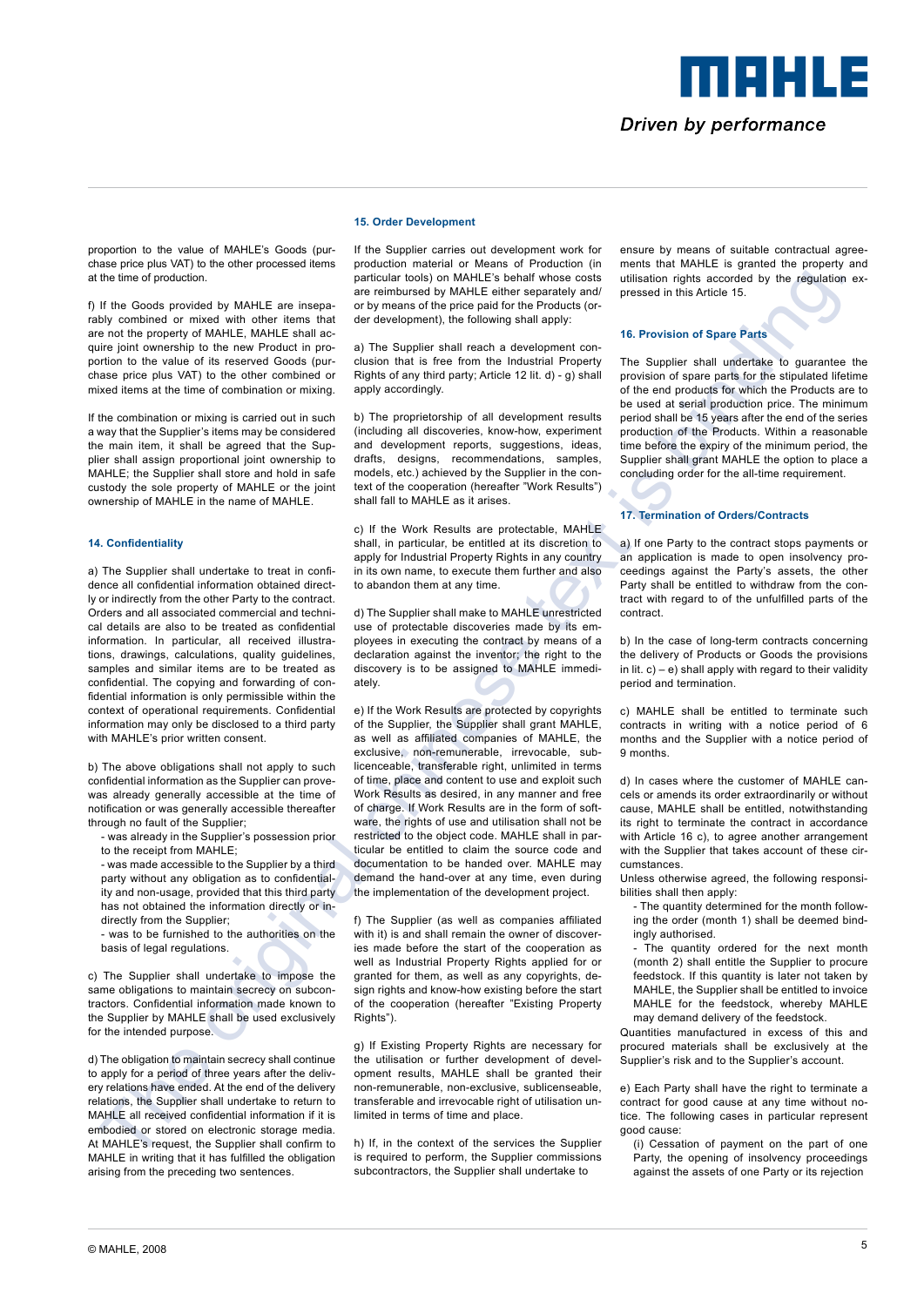# merus

# Driven by performance

proportion to the value of MAHLE's Goods (purchase price plus VAT) to the other processed items at the time of production.

f) If the Goods provided by MAHLE are inseparably combined or mixed with other items that are not the property of MAHLE, MAHLE shall acquire joint ownership to the new Product in proportion to the value of its reserved Goods (purchase price plus VAT) to the other combined or mixed items at the time of combination or mixing.

If the combination or mixing is carried out in such a way that the Supplier's items may be considered the main item, it shall be agreed that the Supplier shall assign proportional joint ownership to MAHLE; the Supplier shall store and hold in safe custody the sole property of MAHLE or the joint ownership of MAHLE in the name of MAHLE.

# **14. Confidentiality**

a) The Supplier shall undertake to treat in confidence all confidential information obtained directly or indirectly from the other Party to the contract. Orders and all associated commercial and technical details are also to be treated as confidential information. In particular, all received illustrations, drawings, calculations, quality guidelines, samples and similar items are to be treated as confidential. The copying and forwarding of confidential information is only permissible within the context of operational requirements. Confidential information may only be disclosed to a third party with MAHLE's prior written consent.

b) The above obligations shall not apply to such confidential information as the Supplier can provewas already generally accessible at the time of notification or was generally accessible thereafter through no fault of the Supplier;

- was already in the Supplier's possession prior to the receipt from MAHLE;

- was made accessible to the Supplier by a third party without any obligation as to confidentiality and non-usage, provided that this third party has not obtained the information directly or indirectly from the Supplier;

was to be furnished to the authorities on the basis of legal regulations.

c) The Supplier shall undertake to impose the same obligations to maintain secrecy on subcontractors. Confidential information made known to the Supplier by MAHLE shall be used exclusively for the intended purpose.

d) The obligation to maintain secrecy shall continue to apply for a period of three years after the delivery relations have ended. At the end of the delivery relations, the Supplier shall undertake to return to MAHLE all received confidential information if it is embodied or stored on electronic storage media. At MAHLE's request, the Supplier shall confirm to MAHLE in writing that it has fulfilled the obligation arising from the preceding two sentences.

If the Supplier carries out development work for production material or Means of Production (in particular tools) on MAHLE's behalf whose costs are reimbursed by MAHLE either separately and/ or by means of the price paid for the Products (order development), the following shall apply:

**15. Order Development**

a) The Supplier shall reach a development conclusion that is free from the Industrial Property Rights of any third party; Article 12 lit. d) - g) shall apply accordingly.

b) The proprietorship of all development results (including all discoveries, know-how, experiment and development reports, suggestions, ideas, drafts, designs, recommendations, samples, models, etc.) achieved by the Supplier in the context of the cooperation (hereafter "Work Results") shall fall to MAHLE as it arises.

c) If the Work Results are protectable, MAHLE shall, in particular, be entitled at its discretion to apply for Industrial Property Rights in any country in its own name, to execute them further and also to abandon them at any time.

d) The Supplier shall make to MAHLE unrestricted use of protectable discoveries made by its employees in executing the contract by means of a declaration against the inventor; the right to the discovery is to be assigned to MAHLE immediately.

The Marinese Constitution of the state is a state of the state of the state of the state of the state of the state of the state of the state of the state of the state of the state of the state of the state of the state of e) If the Work Results are protected by copyrights of the Supplier, the Supplier shall grant MAHLE, as well as affiliated companies of MAHLE, the exclusive, non-remunerable, irrevocable, sublicenceable, transferable right, unlimited in terms of time, place and content to use and exploit such Work Results as desired, in any manner and free of charge. If Work Results are in the form of software, the rights of use and utilisation shall not be restricted to the object code. MAHLE shall in particular be entitled to claim the source code and documentation to be handed over. MAHLE may demand the hand-over at any time, even during the implementation of the development project.

f) The Supplier (as well as companies affiliated with it) is and shall remain the owner of discoveries made before the start of the cooperation as well as Industrial Property Rights applied for or granted for them, as well as any copyrights, design rights and know-how existing before the start of the cooperation (hereafter "Existing Property Rights")

g) If Existing Property Rights are necessary for the utilisation or further development of development results, MAHLE shall be granted their non-remunerable, non-exclusive, sublicenseable, transferable and irrevocable right of utilisation unlimited in terms of time and place.

h) If, in the context of the services the Supplier is required to perform, the Supplier commissions subcontractors, the Supplier shall undertake to

ensure by means of suitable contractual agreements that MAHLE is granted the property and utilisation rights accorded by the regulation expressed in this Article 15.

# **16. Provision of Spare Parts**

The Supplier shall undertake to guarantee the provision of spare parts for the stipulated lifetime of the end products for which the Products are to be used at serial production price. The minimum period shall be 15 years after the end of the series production of the Products. Within a reasonable time before the expiry of the minimum period, the Supplier shall grant MAHLE the option to place a concluding order for the all-time requirement.

# **17. Termination of Orders/Contracts**

a) If one Party to the contract stops payments or an application is made to open insolvency proceedings against the Party's assets, the other Party shall be entitled to withdraw from the contract with regard to of the unfulfilled parts of the contract.

b) In the case of long-term contracts concerning the delivery of Products or Goods the provisions in lit.  $c$ ) – e) shall apply with regard to their validity period and termination.

c) MAHLE shall be entitled to terminate such contracts in writing with a notice period of 6 months and the Supplier with a notice period of 9 months.

d) In cases where the customer of MAHLE cancels or amends its order extraordinarily or without cause, MAHLE shall be entitled, notwithstanding its right to terminate the contract in accordance with Article 16 c), to agree another arrangement with the Supplier that takes account of these circumstances.

Unless otherwise agreed, the following responsibilities shall then apply:

- The quantity determined for the month following the order (month 1) shall be deemed bindingly authorised.
- The quantity ordered for the next month (month 2) shall entitle the Supplier to procure feedstock. If this quantity is later not taken by MAHLE, the Supplier shall be entitled to invoice MAHLE for the feedstock, whereby MAHLE may demand delivery of the feedstock.

Quantities manufactured in excess of this and procured materials shall be exclusively at the Supplier's risk and to the Supplier's account.

e) Each Party shall have the right to terminate a contract for good cause at any time without notice. The following cases in particular represent good cause:

(i) Cessation of payment on the part of one Party, the opening of insolvency proceedings against the assets of one Party or its rejection